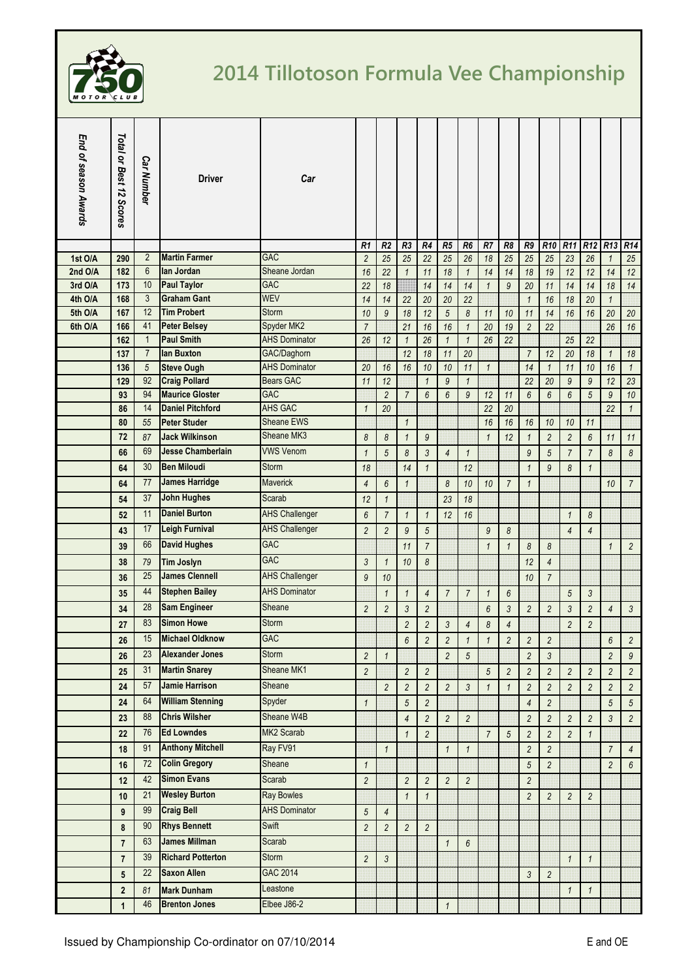

## **2014 Tillotoson Formula Vee Championship**

| End of season Awards | Total or Best 12 Scores | <b>Car Number</b> | <b>Driver</b>            | Car                   |                 |                |                 |                |                |                 |                |                          |                |                 |                 |                 |                 |                 |
|----------------------|-------------------------|-------------------|--------------------------|-----------------------|-----------------|----------------|-----------------|----------------|----------------|-----------------|----------------|--------------------------|----------------|-----------------|-----------------|-----------------|-----------------|-----------------|
|                      |                         |                   |                          |                       | R1              | R <sub>2</sub> | R <sub>3</sub>  | R4             | R5             | R6              | R7             | R <sub>8</sub>           | R9             | R <sub>10</sub> | R <sub>11</sub> | R <sub>12</sub> | R <sub>13</sub> | R <sub>14</sub> |
| 1st O/A              | 290                     | $\overline{2}$    | <b>Martin Farmer</b>     | <b>GAC</b>            | $\overline{2}$  | 25             | 25              | 22             | 25             | 26              | 18             | 25                       | 25             | 25              | 23              | 26              | $\mathbf{1}$    | 25              |
| 2nd O/A              | 182                     | $6\phantom{1}$    | lan Jordan               | Sheane Jordan         | 16              | 22             | $\mathbf{1}$    | 11             | 18             | $\mathbf{1}$    | 14             | 14                       | 18             | 19              | 12              | 12              | 14              | 12              |
| 3rd O/A              | 173                     | 10                | <b>Paul Taylor</b>       | <b>GAC</b>            | 22              | 18             |                 | 14             | 14             | 14              | $\mathbf{1}$   | 9                        | 20             | 11              | 14              | 14              | 18              | 14              |
| 4th O/A              | 168                     | 3                 | <b>Graham Gant</b>       | <b>WEV</b>            | 14              | 14             | 22              | 20             | 20             | 22              |                |                          | $\mathbf{1}$   | 16              | 18              | 20              | $\mathbf{1}$    |                 |
| 5th O/A              | 167                     | 12                | <b>Tim Probert</b>       | <b>Storm</b>          | 10              | 9              | 18              | 12             | $\sqrt{5}$     | 8               | 11             | 10                       | 11             | 14              | 16              | 16              | 20              | 20              |
| 6th O/A              | 166                     | 41                | <b>Peter Belsey</b>      | Spyder MK2            | $\overline{7}$  |                | 21              | 16             | 16             | $\overline{1}$  | 20             | 19                       | $\overline{2}$ | $\overline{22}$ |                 |                 | 26              | 16              |
|                      | 162                     | $\mathbf{1}$      | <b>Paul Smith</b>        | <b>AHS Dominator</b>  | 26              | 12             | $\mathbf{1}$    | 26             | $\mathbf{1}$   | $\mathbf{1}$    | 26             | 22                       |                |                 | 25              | 22              |                 |                 |
|                      | 137                     | $\overline{7}$    | lan Buxton               | GAC/Daghorn           |                 |                | 12              | 18             | 11             | 20              |                |                          | $\overline{7}$ | 12              | 20              | 18              | $\mathbf{1}$    | 18              |
|                      | 136                     | 5                 | <b>Steve Ough</b>        | <b>AHS Dominator</b>  | 20              | 16             | 16              | 10             | 10             | 11              | $\mathbf{1}$   |                          | 14             | $\mathbf{1}$    | 11              | 10              | 16              | $\mathbf{1}$    |
|                      | 129                     | 92                | <b>Craig Pollard</b>     | Bears GAC             | 11              | 12             |                 | $\mathbf{1}$   | $\mathfrak{g}$ | $\mathbf{1}$    |                |                          | 22             | 20              | $\overline{9}$  | $\mathfrak g$   | 12              | 23              |
|                      | 93                      | 94                | <b>Maurice Gloster</b>   | <b>GAC</b>            |                 | $\overline{c}$ | $\overline{7}$  | 6              | 6              | 9               | 12             | 11                       | 6              | 6               | 6               | $\overline{5}$  | $\mathfrak{g}$  | 10              |
|                      | 86                      | 14                | <b>Daniel Pitchford</b>  | <b>AHS GAC</b>        | $\mathbf{1}$    | 20             |                 |                |                |                 | 22             | 20                       |                |                 |                 |                 | 22              | $\mathbf{1}$    |
|                      | 80                      | 55                | <b>Peter Studer</b>      | <b>Sheane EWS</b>     |                 |                | $\mathbf{1}$    |                |                |                 | 16             | 16                       | 16             | 10              | 10              | 11              |                 |                 |
|                      | 72                      | 87                | <b>Jack Wilkinson</b>    | Sheane MK3            | 8               | 8              | $\mathbf{1}$    | 9              |                |                 | $\mathbf{1}$   | 12                       | $\mathbf{1}$   | $\overline{c}$  | $\overline{2}$  | $6\overline{6}$ | 11              | 11              |
|                      | 66                      | 69                | <b>Jesse Chamberlain</b> | <b>VWS Venom</b>      | $\mathbf{1}$    | 5              | $\delta$        | 3              | $\overline{4}$ | $\overline{1}$  |                |                          | 9              | 5               | $\overline{7}$  | $\overline{7}$  | 8               | 8               |
|                      | 64                      | 30                | <b>Ben Miloudi</b>       | <b>Storm</b>          | 18              |                | 14              | $\mathbf{1}$   |                | 12              |                |                          | $\mathbf{1}$   | 9               | 8               | $\mathbf{1}$    |                 |                 |
|                      | 64                      | 77                | <b>James Harridge</b>    | <b>Maverick</b>       | $\overline{4}$  | 6              | $\mathbf{1}$    |                | 8              | 10              | 10             | $\overline{7}$           | $\mathbf{1}$   |                 |                 |                 | 10              | $\overline{7}$  |
|                      | 54                      | 37                | <b>John Hughes</b>       | Scarab                | 12              | $\mathbf{1}$   |                 |                | 23             | 18              |                |                          |                |                 |                 |                 |                 |                 |
|                      | 52                      | 11                | <b>Daniel Burton</b>     | <b>AHS Challenger</b> | $6\overline{6}$ | $\overline{7}$ | $\mathbf{1}$    | $\mathbf{1}$   | 12             | 16              |                |                          |                |                 | $\mathbf{1}$    | 8               |                 |                 |
|                      |                         | 17                | <b>Leigh Furnival</b>    | <b>AHS Challenger</b> |                 |                | 9               |                |                |                 |                |                          |                |                 |                 |                 |                 |                 |
|                      | 43                      |                   |                          |                       | $\overline{2}$  | $\overline{c}$ |                 | $\overline{5}$ |                |                 | 9              | 8                        |                |                 | 4               | $\overline{4}$  |                 |                 |
|                      | 39                      | 66                | <b>David Hughes</b>      | <b>GAC</b>            |                 |                | 11              | $\overline{7}$ |                |                 | $\mathbf{1}$   | $\mathbf 1$              | 8              | 8               |                 |                 | $\mathbf{1}$    | $\overline{c}$  |
|                      | 38                      | 79                | Tim Joslyn               | <b>GAC</b>            | $\mathfrak{Z}$  | $\mathbf{1}$   | 10              | 8              |                |                 |                |                          | 12             | $\overline{4}$  |                 |                 |                 |                 |
|                      | 36                      | 25                | <b>James Clennell</b>    | <b>AHS Challenger</b> | 9               | 10             |                 |                |                |                 |                |                          | 10             | $\overline{7}$  |                 |                 |                 |                 |
|                      | 35                      | 44                | <b>Stephen Bailey</b>    | <b>AHS Dominator</b>  |                 | $\mathbf{1}$   | $\mathbf{1}$    | $\overline{4}$ | $\overline{7}$ | $\overline{7}$  | $\mathbf{1}$   | 6                        |                |                 | 5               | 3               |                 |                 |
|                      | 34                      | 28                | <b>Sam Engineer</b>      | Sheane                | $\overline{2}$  | $\overline{2}$ | 3               | $\overline{2}$ |                |                 | 6              | 3                        | $\overline{2}$ | $\overline{2}$  | 3               | $\overline{c}$  | $\overline{4}$  | 3               |
|                      | 27                      | 83                | <b>Simon Howe</b>        | <b>Storm</b>          |                 |                | $\overline{2}$  | $\overline{2}$ | 3              | $\overline{4}$  | 8              | $\overline{\mathcal{L}}$ |                |                 | $\overline{c}$  | $\overline{c}$  |                 |                 |
|                      | 26                      | 15                | <b>Michael Oldknow</b>   | <b>GAC</b>            |                 |                | $6\phantom{.}6$ | $\overline{c}$ | $\overline{c}$ | $\overline{1}$  | $\mathbf{1}$   | $\overline{c}$           | $\overline{c}$ | $\overline{c}$  |                 |                 | 6               | $\overline{c}$  |
|                      | 26                      | 23                | <b>Alexander Jones</b>   | <b>Storm</b>          | $\overline{c}$  | $\mathbf{1}$   |                 |                | $\overline{c}$ | 5               |                |                          | $\overline{c}$ | 3               |                 |                 | $\overline{2}$  | 9               |
|                      |                         | 31                | <b>Martin Snarey</b>     | Sheane MK1            |                 |                |                 |                |                |                 |                |                          |                |                 |                 |                 |                 |                 |
|                      | 25                      |                   | <b>Jamie Harrison</b>    |                       | $\overline{c}$  |                | $\overline{2}$  | $\overline{c}$ |                |                 | $\sqrt{5}$     | $\overline{c}$           | $\overline{c}$ | $\overline{c}$  | $\overline{2}$  | $\overline{c}$  | $\overline{2}$  | $\overline{c}$  |
|                      | 24                      | 57                |                          | Sheane                |                 | $\overline{c}$ | $\overline{c}$  | $\overline{c}$ | $\overline{c}$ | $\mathfrak{Z}$  | $\mathbf{1}$   | $\mathbf{1}$             | $\overline{c}$ | $\overline{c}$  | $\overline{c}$  | $\overline{c}$  | $\overline{c}$  | $\overline{c}$  |
|                      | 24                      | 64                | <b>William Stenning</b>  | Spyder                | $\mathbf{1}$    |                | 5               | $\overline{c}$ |                |                 |                |                          | $\overline{4}$ | $\overline{c}$  |                 |                 | 5               | 5               |
|                      | 23                      | 88                | <b>Chris Wilsher</b>     | Sheane W4B            |                 |                | $\overline{4}$  | $\overline{c}$ | $\overline{c}$ | $\overline{2}$  |                |                          | $\overline{c}$ | $\overline{c}$  | $\overline{c}$  | $\overline{c}$  | $\mathfrak{Z}$  | $\overline{c}$  |
|                      | 22                      | 76                | <b>Ed Lowndes</b>        | MK2 Scarab            |                 |                | $\mathbf{1}$    | $\overline{c}$ |                |                 | $\overline{7}$ | 5                        | $\overline{c}$ | $\overline{c}$  | $\overline{c}$  | $\mathbf{1}$    |                 |                 |
|                      | 18                      | 91                | <b>Anthony Mitchell</b>  | Ray FV91              |                 | $\mathbf{1}$   |                 |                | $\mathbf{1}$   | $\mathbf{1}$    |                |                          | $\overline{c}$ | $\overline{c}$  |                 |                 | $\overline{7}$  | $\overline{4}$  |
|                      | 16                      | 72                | <b>Colin Gregory</b>     | Sheane                | $\mathbf{1}$    |                |                 |                |                |                 |                |                          | 5              | $\overline{c}$  |                 |                 | $\overline{2}$  | 6               |
|                      | 12                      | 42                | <b>Simon Evans</b>       | Scarab                | $\overline{2}$  |                | $\overline{c}$  | $\overline{c}$ | $\overline{c}$ | $\overline{2}$  |                |                          | $\overline{c}$ |                 |                 |                 |                 |                 |
|                      | 10                      | 21                | <b>Wesley Burton</b>     | <b>Ray Bowles</b>     |                 |                | $\mathbf{1}$    | $\mathbf{1}$   |                |                 |                |                          | $\overline{c}$ | $\overline{c}$  | $\overline{2}$  | $\overline{c}$  |                 |                 |
|                      |                         | 99                | <b>Craig Bell</b>        | <b>AHS Dominator</b>  |                 |                |                 |                |                |                 |                |                          |                |                 |                 |                 |                 |                 |
|                      | $\boldsymbol{9}$        |                   |                          |                       | $\overline{5}$  | 4              |                 |                |                |                 |                |                          |                |                 |                 |                 |                 |                 |
|                      | 8                       | 90                | <b>Rhys Bennett</b>      | Swift                 | $\overline{2}$  | $\overline{c}$ | $\overline{2}$  | $\overline{2}$ |                |                 |                |                          |                |                 |                 |                 |                 |                 |
|                      | $\overline{7}$          | 63                | <b>James Millman</b>     | Scarab                |                 |                |                 |                | $\mathbf{1}$   | $6\phantom{.}6$ |                |                          |                |                 |                 |                 |                 |                 |
|                      | $\overline{7}$          | 39                | <b>Richard Potterton</b> | <b>Storm</b>          | $\overline{2}$  | 3              |                 |                |                |                 |                |                          |                |                 | $\mathbf{1}$    | $\mathbf{1}$    |                 |                 |
|                      | $5\phantom{.0}$         | 22                | <b>Saxon Allen</b>       | GAC 2014              |                 |                |                 |                |                |                 |                |                          | 3              | $\overline{c}$  |                 |                 |                 |                 |
|                      | $\boldsymbol{2}$        | 81                | <b>Mark Dunham</b>       | Leastone              |                 |                |                 |                |                |                 |                |                          |                |                 | $\mathbf{1}$    | $\mathbf{1}$    |                 |                 |
|                      | $\mathbf{1}$            | 46                | <b>Brenton Jones</b>     | Elbee J86-2           |                 |                |                 |                | 1              |                 |                |                          |                |                 |                 |                 |                 |                 |
|                      |                         |                   |                          |                       |                 |                |                 |                |                |                 |                |                          |                |                 |                 |                 |                 |                 |